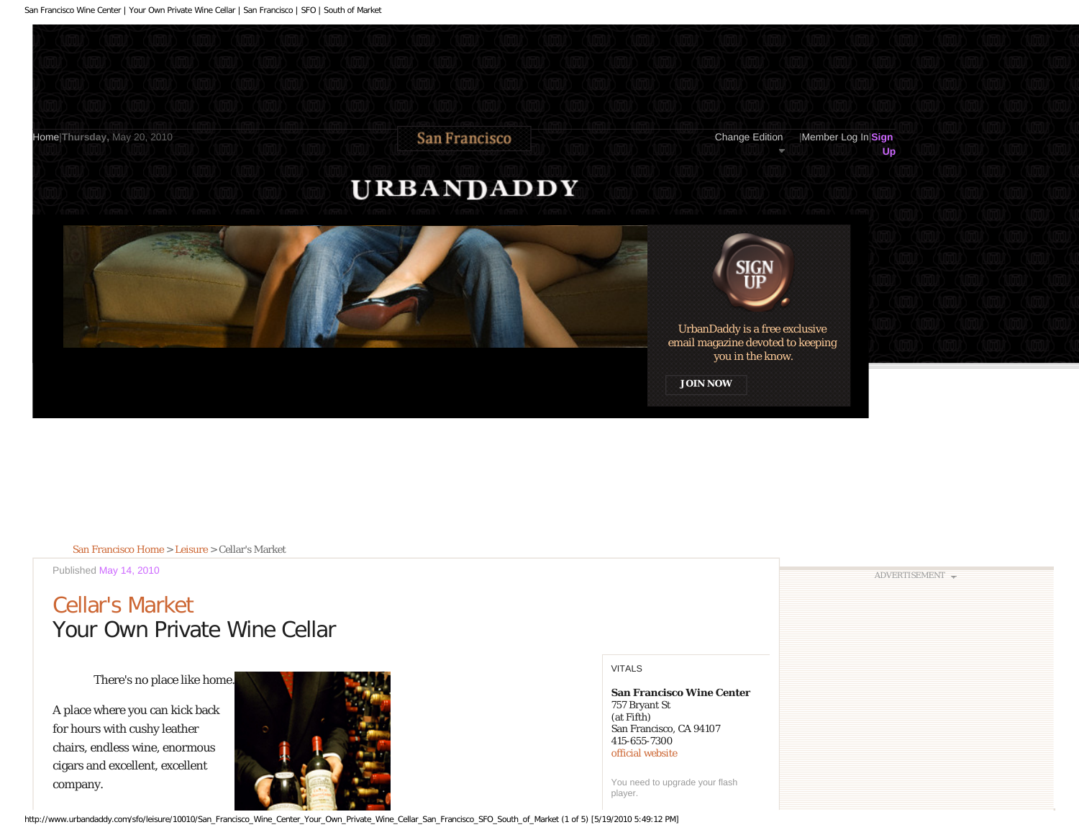<span id="page-0-0"></span>

## [San Francisco Home](http://www.urbandaddy.com/) > [Leisure](http://www.urbandaddy.com/archives/sfo/leisure) > Cellar's Market

ADVERTISEMENT Published May 14, 2010

## Cellar's Market Your Own Private Wine Cellar

There's no place like home.

A place where you can kick back for hours with cushy leather chairs, endless wine, enormous cigars and excellent, excellent company.



VITALS

**San Francisco Wine Center** 757 Bryant St (at Fifth) San Francisco, CA 94107 415-655-7300 [official website](http://sanfranciscowinecenter.com/)

You need to upgrade your flash player.

http://www.urbandaddy.com/sfo/leisure/10010/San\_Francisco\_Wine\_Center\_Your\_Own\_Private\_Wine\_Cellar\_San\_Francisco\_SFO\_South\_of\_Market (1 of 5) [5/19/2010 5:49:12 PM]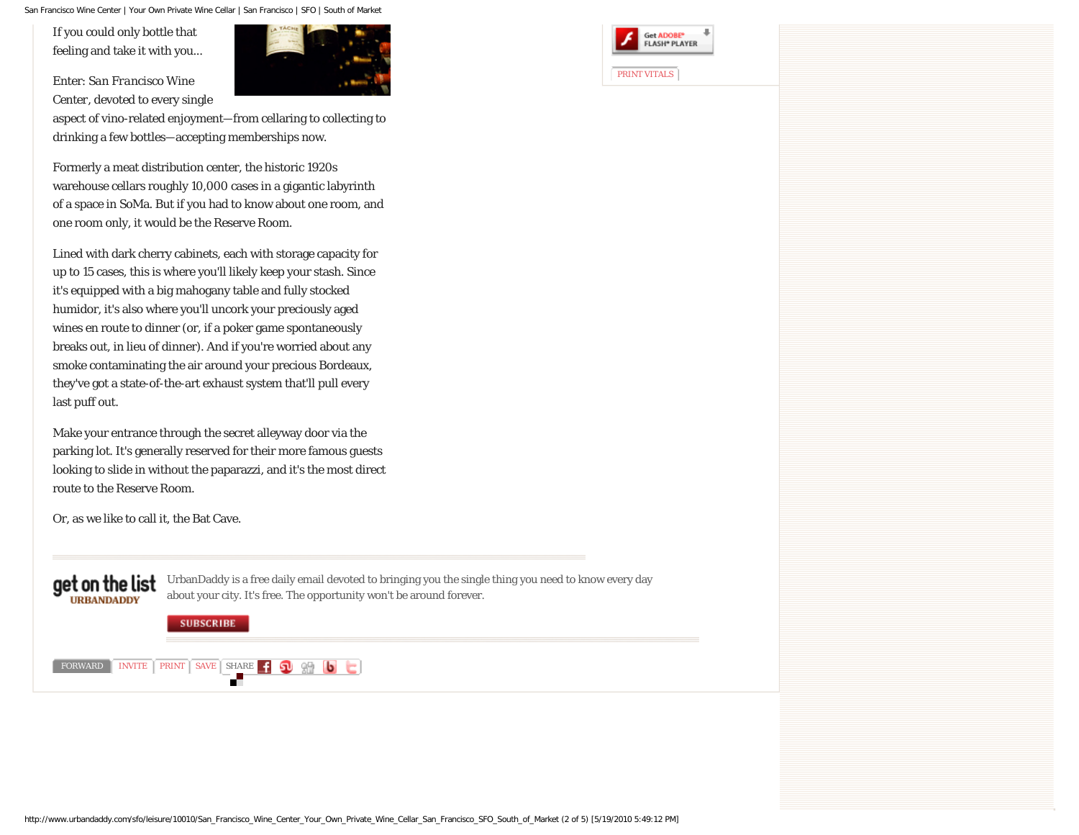San Francisco Wine Center | Your Own Private Wine Cellar | San Francisco | SFO | South of Market

If you could only bottle that feeling and take it with you...

Enter: *San Francisco Wine Center*, devoted to every single



aspect of vino-related enjoyment—from cellaring to collecting to drinking a few bottles—accepting memberships now.

Formerly a meat distribution center, the historic 1920s warehouse cellars roughly 10,000 cases in a gigantic labyrinth of a space in SoMa. But if you had to know about one room, and one room only, it would be the Reserve Room.

Lined with dark cherry cabinets, each with storage capacity for up to 15 cases, this is where you'll likely keep your stash. Since it's equipped with a big mahogany table and fully stocked humidor, it's also where you'll uncork your preciously aged wines en route to dinner (or, if a poker game spontaneously breaks out, in lieu of dinner). And if you're worried about any smoke contaminating the air around your precious Bordeaux, they've got a state-of-the-art exhaust system that'll pull every last puff out.

Make your entrance through the secret alleyway door via the parking lot. It's generally reserved for their more famous guests looking to slide in without the paparazzi, and it's the most direct route to the Reserve Room.

Or, as we like to call it, the Bat Cave.



UrbanDaddy is a free daily email devoted to bringing you the single thing you need to know every day about your city. It's free. The opportunity won't be around forever.

**SUBSCRIBE** 

FORWARD [INVITE](http://www.urbandaddy.com/myaccount/signup/edition/sfo/article_id/10010#signupform) [PRINT](http://www.urbandaddy.com/articles/print/10010) [SAVE](http://www.urbandaddy.com/myaccount/login/save_article_id/10010#login) SHARE

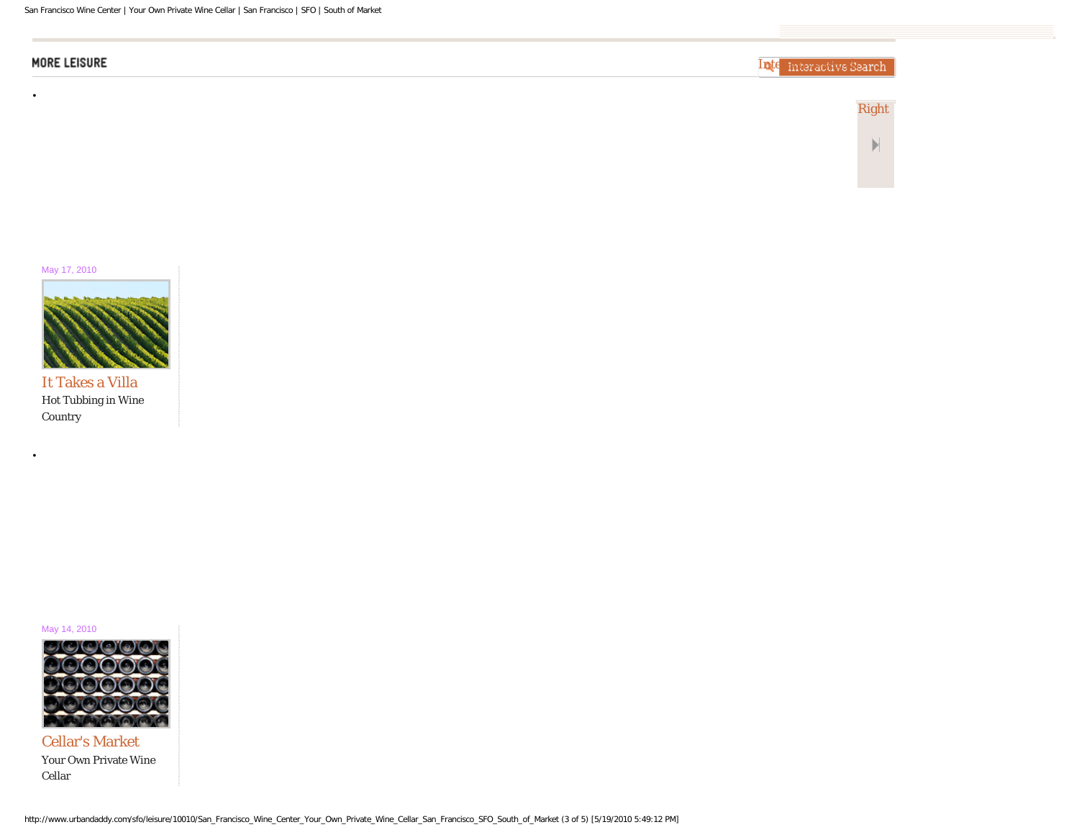## **MORE LEISURE**

●

Inte<sup>Interactive Search</sup>

May 17, 2010



[It Takes a Villa](http://www.urbandaddy.com/sfo/leisure/10021/DeLoach_Winery_Guesthouse_Hot_Tubbing_in_Wine_Country_San_Francisco_SFO_Destination) Hot Tubbing in Wine Country

●

May 14, 2010



[Cellar's Market](#page-0-0) Your Own Private Wine Cellar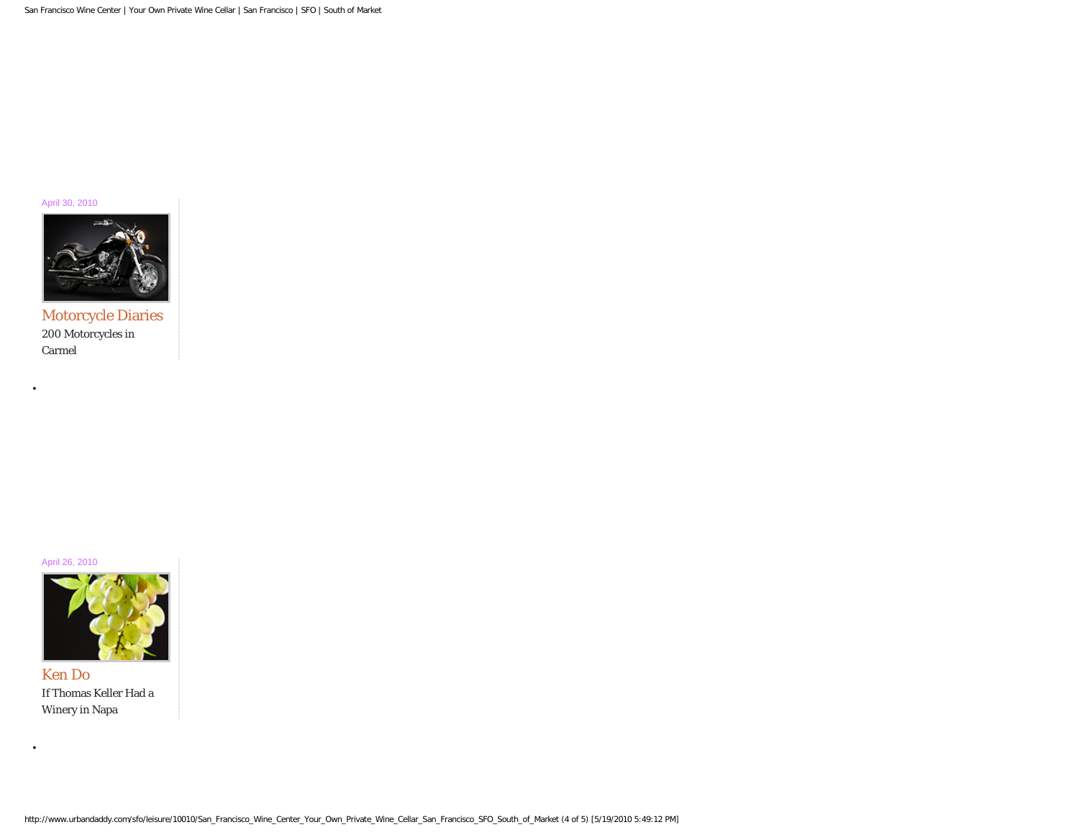April 30, 2010

 $\bullet$ 

 $\bullet$ 



[Motorcycle Diaries](http://www.urbandaddy.com/sfo/leisure/9602/Quail_Motorcycle_Gathering_200_Motorcycles_in_Carmel_San_Francisco_SFO_Event) 200 Motorcycles in Carmel

April 26, 2010



[Ken Do](http://www.urbandaddy.com/sfo/leisure/9566/Kenzo_Estate_Winery_If_Thomas_Keller_Had_a_Winery_in_Napa_San_Francisco_SFO) If Thomas Keller Had a Winery in Napa